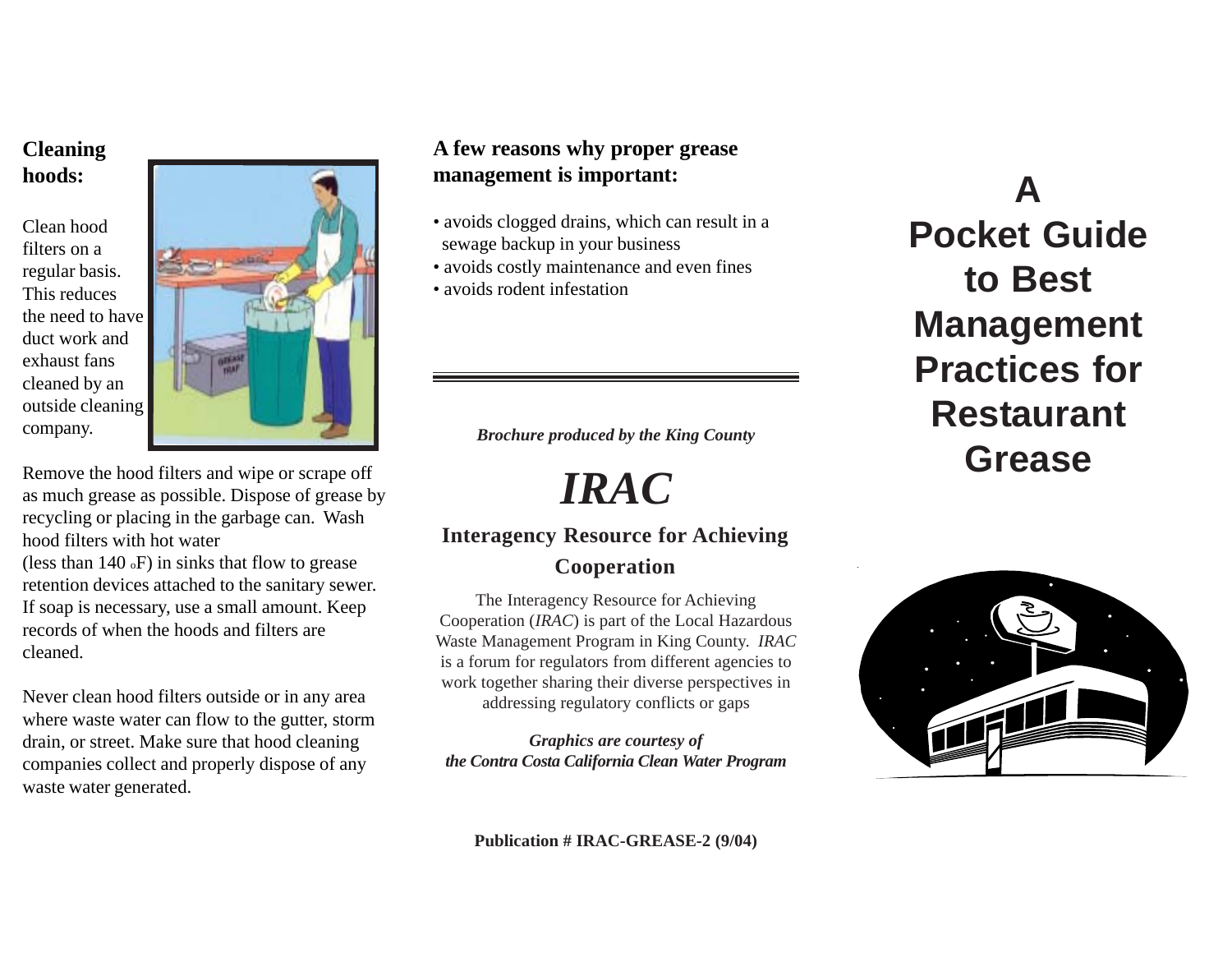#### **Cleaning hoods:**

Clean hood filters on a regular basis. This reduces the need to have duct work and exhaust fans cleaned by an outside cleaning company.



Remove the hood filters and wipe or scrape off as much grease as possible. Dispose of grease by recycling or placing in the garbage can. Wash hood filters with hot water (less than 140 oF) in sinks that flow to grease retention devices attached to the sanitary sewer. If soap is necessary, use a small amount. Keep records of when the hoods and filters are cleaned.

Never clean hood filters outside or in any area where waste water can flow to the gutter, storm drain, or street. Make sure that hood cleaning companies collect and properly dispose of any waste water generated.

### **A few reasons why proper grease management is important:**

- avoids clogged drains, which can result in a sewage backup in your business
- avoids costly maintenance and even fines
- avoids rodent infestation

*Brochure produced by the King County*

*IRAC*

# **Interagency Resource for Achieving**

**Cooperation**

The Interagency Resource for Achieving Cooperation (*IRAC*) is part of the Local Hazardous Waste Management Program in King County. *IRAC* is a forum for regulators from different agencies to work together sharing their diverse perspectives in addressing regulatory conflicts or gaps

*Graphics are courtesy of the Contra Costa California Clean Water Program*

**A Pocket Guide to Best Management Practices for Restaurant Grease**



**Publication # IRAC-GREASE-2 (9/04)**